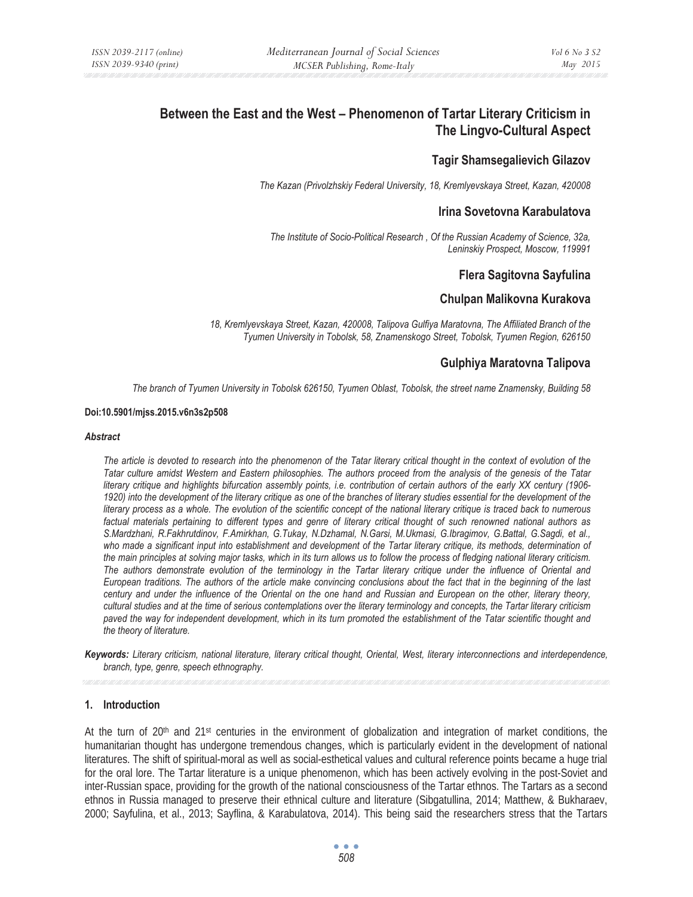# **Between the East and the West – Phenomenon of Tartar Literary Criticism in The Lingvo-Cultural Aspect**

# **Tagir Shamsegalievich Gilazov**

*The Kazan (Privolzhskiy Federal University, 18, Kremlyevskaya Street, Kazan, 420008* 

## **Irina Sovetovna Karabulatova**

*The Institute of Socio-Political Research , Of the Russian Academy of Science, 32a, Leninskiy Prospect, Moscow, 119991* 

## **Flera Sagitovna Sayfulina**

## **Chulpan Malikovna Kurakova**

*18, Kremlyevskaya Street, Kazan, 420008, Talipova Gulfiya Maratovna, The Affiliated Branch of the Tyumen University in Tobolsk, 58, Znamenskogo Street, Tobolsk, Tyumen Region, 626150* 

## **Gulphiya Maratovna Talipova**

*The branch of Tyumen University in Tobolsk 626150, Tyumen Oblast, Tobolsk, the street name Znamensky, Building 58* 

#### **Doi:10.5901/mjss.2015.v6n3s2p508**

#### *Abstract*

*The article is devoted to research into the phenomenon of the Tatar literary critical thought in the context of evolution of the Tatar culture amidst Western and Eastern philosophies. The authors proceed from the analysis of the genesis of the Tatar literary critique and highlights bifurcation assembly points, i.e. contribution of certain authors of the early XX century (1906- 1920) into the development of the literary critique as one of the branches of literary studies essential for the development of the literary process as a whole. The evolution of the scientific concept of the national literary critique is traced back to numerous factual materials pertaining to different types and genre of literary critical thought of such renowned national authors as S.Mardzhani, R.Fakhrutdinov, F.Amirkhan, G.Tukay, N.Dzhamal, N.Garsi, M.Ukmasi, G.Ibragimov, G.Battal, G.Sagdi, et al.,*  who made a significant input into establishment and development of the Tartar literary critique, its methods, determination of *the main principles at solving major tasks, which in its turn allows us to follow the process of fledging national literary criticism. The authors demonstrate evolution of the terminology in the Tartar literary critique under the influence of Oriental and European traditions. The authors of the article make convincing conclusions about the fact that in the beginning of the last century and under the influence of the Oriental on the one hand and Russian and European on the other, literary theory, cultural studies and at the time of serious contemplations over the literary terminology and concepts, the Tartar literary criticism paved the way for independent development, which in its turn promoted the establishment of the Tatar scientific thought and the theory of literature.* 

*Keywords: Literary criticism, national literature, literary critical thought, Oriental, West, literary interconnections and interdependence, branch, type, genre, speech ethnography.* 

#### **1. Introduction**

At the turn of 20<sup>th</sup> and 21<sup>st</sup> centuries in the environment of globalization and integration of market conditions, the humanitarian thought has undergone tremendous changes, which is particularly evident in the development of national literatures. The shift of spiritual-moral as well as social-esthetical values and cultural reference points became a huge trial for the oral lore. The Tartar literature is a unique phenomenon, which has been actively evolving in the post-Soviet and inter-Russian space, providing for the growth of the national consciousness of the Tartar ethnos. The Tartars as a second ethnos in Russia managed to preserve their ethnical culture and literature (Sibgatullina, 2014; Matthew, & Bukharaev, 2000; Sayfulina, et al., 2013; Sayflina, & Karabulatova, 2014). This being said the researchers stress that the Tartars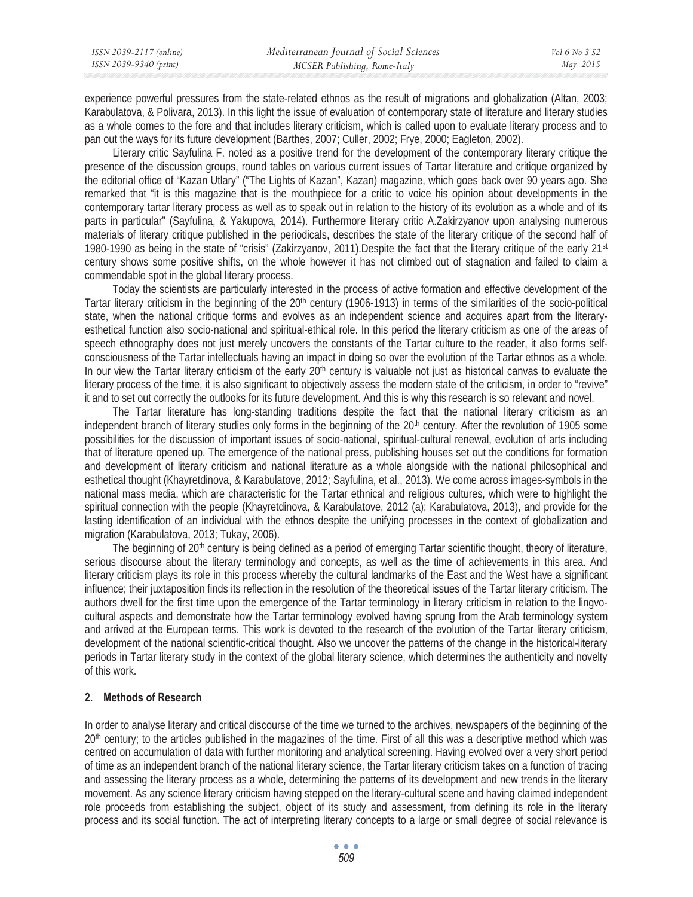| ISSN 2039-2117 (online) | Mediterranean Journal of Social Sciences | Vol 6 No 3 S2 |
|-------------------------|------------------------------------------|---------------|
| ISSN 2039-9340 (print)  | MCSER Publishing, Rome-Italy             | May 2015      |

experience powerful pressures from the state-related ethnos as the result of migrations and globalization (Altan, 2003; Karabulatova, & Polivara, 2013). In this light the issue of evaluation of contemporary state of literature and literary studies as a whole comes to the fore and that includes literary criticism, which is called upon to evaluate literary process and to pan out the ways for its future development (Barthes, 2007; Culler, 2002; Frye, 2000; Eagleton, 2002).

Literary critic Sayfulina F. noted as a positive trend for the development of the contemporary literary critique the presence of the discussion groups, round tables on various current issues of Tartar literature and critique organized by the editorial office of "Kazan Utlary" ("The Lights of Kazan", Kazan) magazine, which goes back over 90 years ago. She remarked that "it is this magazine that is the mouthpiece for a critic to voice his opinion about developments in the contemporary tartar literary process as well as to speak out in relation to the history of its evolution as a whole and of its parts in particular" (Sayfulina, & Yakupova, 2014). Furthermore literary critic A.Zakirzyanov upon analysing numerous materials of literary critique published in the periodicals, describes the state of the literary critique of the second half of 1980-1990 as being in the state of "crisis" (Zakirzyanov, 2011). Despite the fact that the literary critique of the early  $21<sup>st</sup>$ century shows some positive shifts, on the whole however it has not climbed out of stagnation and failed to claim a commendable spot in the global literary process.

Today the scientists are particularly interested in the process of active formation and effective development of the Tartar literary criticism in the beginning of the 20<sup>th</sup> century (1906-1913) in terms of the similarities of the socio-political state, when the national critique forms and evolves as an independent science and acquires apart from the literaryesthetical function also socio-national and spiritual-ethical role. In this period the literary criticism as one of the areas of speech ethnography does not just merely uncovers the constants of the Tartar culture to the reader, it also forms selfconsciousness of the Tartar intellectuals having an impact in doing so over the evolution of the Tartar ethnos as a whole. In our view the Tartar literary criticism of the early  $20<sup>th</sup>$  century is valuable not just as historical canvas to evaluate the literary process of the time, it is also significant to objectively assess the modern state of the criticism, in order to "revive" it and to set out correctly the outlooks for its future development. And this is why this research is so relevant and novel.

The Tartar literature has long-standing traditions despite the fact that the national literary criticism as an independent branch of literary studies only forms in the beginning of the 20<sup>th</sup> century. After the revolution of 1905 some possibilities for the discussion of important issues of socio-national, spiritual-cultural renewal, evolution of arts including that of literature opened up. The emergence of the national press, publishing houses set out the conditions for formation and development of literary criticism and national literature as a whole alongside with the national philosophical and esthetical thought (Khayretdinova, & Karabulatove, 2012; Sayfulina, et al., 2013). We come across images-symbols in the national mass media, which are characteristic for the Tartar ethnical and religious cultures, which were to highlight the spiritual connection with the people (Khayretdinova, & Karabulatove, 2012 (a); Karabulatova, 2013), and provide for the lasting identification of an individual with the ethnos despite the unifying processes in the context of globalization and migration (Karabulatova, 2013; Tukay, 2006).

The beginning of 20<sup>th</sup> century is being defined as a period of emerging Tartar scientific thought, theory of literature, serious discourse about the literary terminology and concepts, as well as the time of achievements in this area. And literary criticism plays its role in this process whereby the cultural landmarks of the East and the West have a significant influence; their juxtaposition finds its reflection in the resolution of the theoretical issues of the Tartar literary criticism. The authors dwell for the first time upon the emergence of the Tartar terminology in literary criticism in relation to the lingvocultural aspects and demonstrate how the Tartar terminology evolved having sprung from the Arab terminology system and arrived at the European terms. This work is devoted to the research of the evolution of the Tartar literary criticism, development of the national scientific-critical thought. Also we uncover the patterns of the change in the historical-literary periods in Tartar literary study in the context of the global literary science, which determines the authenticity and novelty of this work.

#### **2. Methods of Research**

In order to analyse literary and critical discourse of the time we turned to the archives, newspapers of the beginning of the  $20<sup>th</sup>$  century; to the articles published in the magazines of the time. First of all this was a descriptive method which was centred on accumulation of data with further monitoring and analytical screening. Having evolved over a very short period of time as an independent branch of the national literary science, the Tartar literary criticism takes on a function of tracing and assessing the literary process as a whole, determining the patterns of its development and new trends in the literary movement. As any science literary criticism having stepped on the literary-cultural scene and having claimed independent role proceeds from establishing the subject, object of its study and assessment, from defining its role in the literary process and its social function. The act of interpreting literary concepts to a large or small degree of social relevance is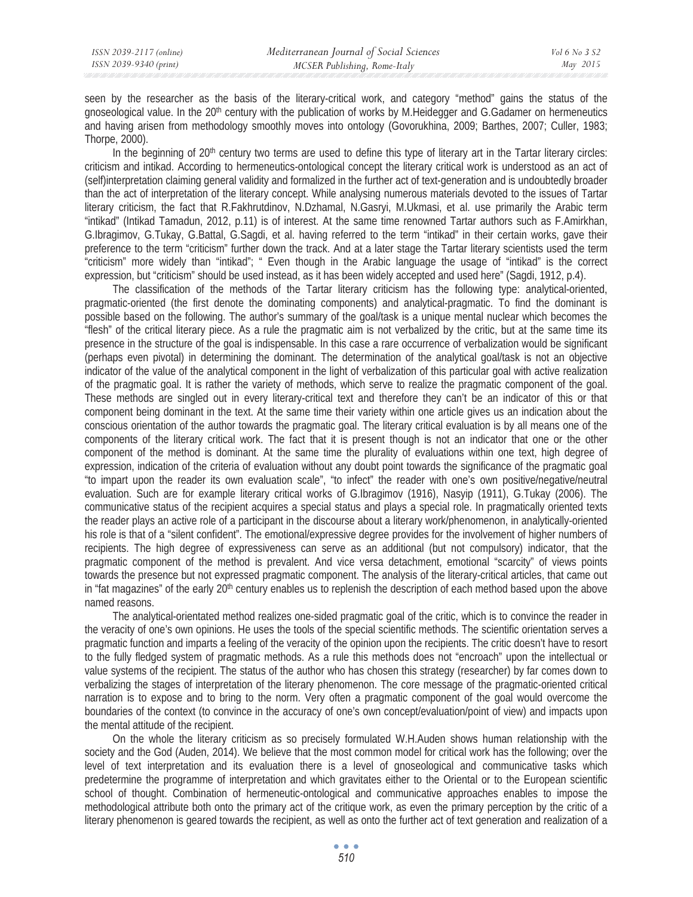seen by the researcher as the basis of the literary-critical work, and category "method" gains the status of the gnoseological value. In the 20<sup>th</sup> century with the publication of works by M.Heidegger and G.Gadamer on hermeneutics and having arisen from methodology smoothly moves into ontology (Govorukhina, 2009; Barthes, 2007; Culler, 1983; Thorpe, 2000).

In the beginning of  $20<sup>th</sup>$  century two terms are used to define this type of literary art in the Tartar literary circles: criticism and intikad. According to hermeneutics-ontological concept the literary critical work is understood as an act of (self)interpretation claiming general validity and formalized in the further act of text-generation and is undoubtedly broader than the act of interpretation of the literary concept. While analysing numerous materials devoted to the issues of Tartar literary criticism, the fact that R.Fakhrutdinov, N.Dzhamal, N.Gasryi, M.Ukmasi, et al. use primarily the Arabic term "intikad" (Intikad Tamadun, 2012, p.11) is of interest. At the same time renowned Tartar authors such as F.Amirkhan, G.Ibragimov, G.Tukay, G.Battal, G.Sagdi, et al. having referred to the term "intikad" in their certain works, gave their preference to the term "criticism" further down the track. And at a later stage the Tartar literary scientists used the term "criticism" more widely than "intikad"; " Even though in the Arabic language the usage of "intikad" is the correct expression, but "criticism" should be used instead, as it has been widely accepted and used here" (Sagdi, 1912, p.4).

The classification of the methods of the Tartar literary criticism has the following type: analytical-oriented, pragmatic-oriented (the first denote the dominating components) and analytical-pragmatic. To find the dominant is possible based on the following. The author's summary of the goal/task is a unique mental nuclear which becomes the "flesh" of the critical literary piece. As a rule the pragmatic aim is not verbalized by the critic, but at the same time its presence in the structure of the goal is indispensable. In this case a rare occurrence of verbalization would be significant (perhaps even pivotal) in determining the dominant. The determination of the analytical goal/task is not an objective indicator of the value of the analytical component in the light of verbalization of this particular goal with active realization of the pragmatic goal. It is rather the variety of methods, which serve to realize the pragmatic component of the goal. These methods are singled out in every literary-critical text and therefore they can't be an indicator of this or that component being dominant in the text. At the same time their variety within one article gives us an indication about the conscious orientation of the author towards the pragmatic goal. The literary critical evaluation is by all means one of the components of the literary critical work. The fact that it is present though is not an indicator that one or the other component of the method is dominant. At the same time the plurality of evaluations within one text, high degree of expression, indication of the criteria of evaluation without any doubt point towards the significance of the pragmatic goal "to impart upon the reader its own evaluation scale", "to infect" the reader with one's own positive/negative/neutral evaluation. Such are for example literary critical works of G.Ibragimov (1916), Nasyip (1911), G.Tukay (2006). The communicative status of the recipient acquires a special status and plays a special role. In pragmatically oriented texts the reader plays an active role of a participant in the discourse about a literary work/phenomenon, in analytically-oriented his role is that of a "silent confident". The emotional/expressive degree provides for the involvement of higher numbers of recipients. The high degree of expressiveness can serve as an additional (but not compulsory) indicator, that the pragmatic component of the method is prevalent. And vice versa detachment, emotional "scarcity" of views points towards the presence but not expressed pragmatic component. The analysis of the literary-critical articles, that came out in "fat magazines" of the early 20<sup>th</sup> century enables us to replenish the description of each method based upon the above named reasons.

The analytical-orientated method realizes one-sided pragmatic goal of the critic, which is to convince the reader in the veracity of one's own opinions. He uses the tools of the special scientific methods. The scientific orientation serves a pragmatic function and imparts a feeling of the veracity of the opinion upon the recipients. The critic doesn't have to resort to the fully fledged system of pragmatic methods. As a rule this methods does not "encroach" upon the intellectual or value systems of the recipient. The status of the author who has chosen this strategy (researcher) by far comes down to verbalizing the stages of interpretation of the literary phenomenon. The core message of the pragmatic-oriented critical narration is to expose and to bring to the norm. Very often a pragmatic component of the goal would overcome the boundaries of the context (to convince in the accuracy of one's own concept/evaluation/point of view) and impacts upon the mental attitude of the recipient.

On the whole the literary criticism as so precisely formulated W.H.Auden shows human relationship with the society and the God (Auden, 2014). We believe that the most common model for critical work has the following; over the level of text interpretation and its evaluation there is a level of gnoseological and communicative tasks which predetermine the programme of interpretation and which gravitates either to the Oriental or to the European scientific school of thought. Combination of hermeneutic-ontological and communicative approaches enables to impose the methodological attribute both onto the primary act of the critique work, as even the primary perception by the critic of a literary phenomenon is geared towards the recipient, as well as onto the further act of text generation and realization of a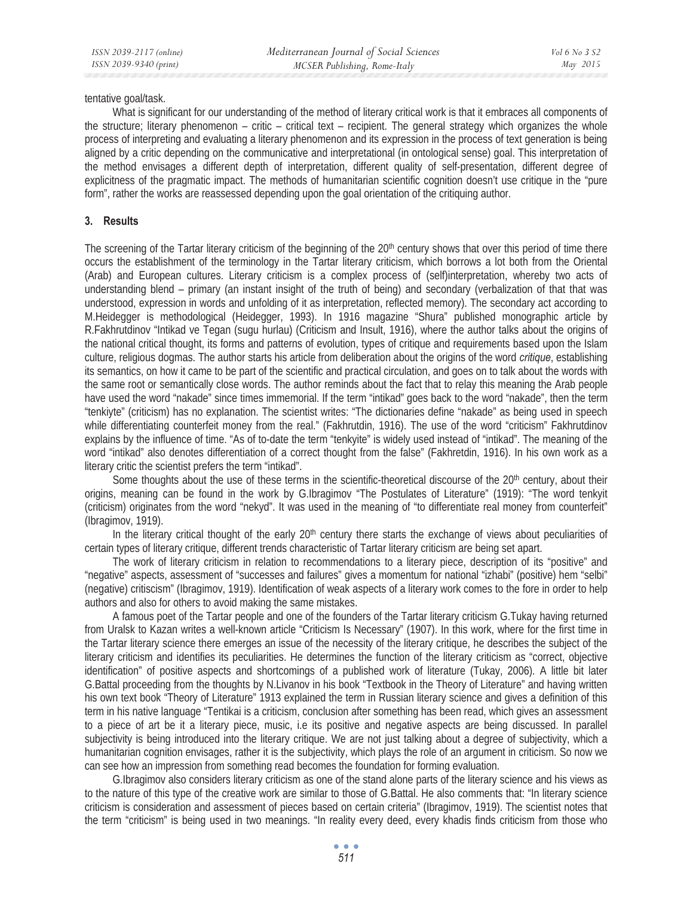tentative goal/task.

What is significant for our understanding of the method of literary critical work is that it embraces all components of the structure; literary phenomenon – critic – critical text – recipient. The general strategy which organizes the whole process of interpreting and evaluating a literary phenomenon and its expression in the process of text generation is being aligned by a critic depending on the communicative and interpretational (in ontological sense) goal. This interpretation of the method envisages a different depth of interpretation, different quality of self-presentation, different degree of explicitness of the pragmatic impact. The methods of humanitarian scientific cognition doesn't use critique in the "pure form", rather the works are reassessed depending upon the goal orientation of the critiquing author.

## **3. Results**

The screening of the Tartar literary criticism of the beginning of the 20<sup>th</sup> century shows that over this period of time there occurs the establishment of the terminology in the Tartar literary criticism, which borrows a lot both from the Oriental (Arab) and European cultures. Literary criticism is a complex process of (self)interpretation, whereby two acts of understanding blend – primary (an instant insight of the truth of being) and secondary (verbalization of that that was understood, expression in words and unfolding of it as interpretation, reflected memory). The secondary act according to M.Heidegger is methodological (Heidegger, 1993). In 1916 magazine "Shura" published monographic article by R.Fakhrutdinov "Intikad ve Tegan (sugu hurlau) (Criticism and Insult, 1916), where the author talks about the origins of the national critical thought, its forms and patterns of evolution, types of critique and requirements based upon the Islam culture, religious dogmas. The author starts his article from deliberation about the origins of the word *critique*, establishing its semantics, on how it came to be part of the scientific and practical circulation, and goes on to talk about the words with the same root or semantically close words. The author reminds about the fact that to relay this meaning the Arab people have used the word "nakade" since times immemorial. If the term "intikad" goes back to the word "nakade", then the term "tenkiyte" (criticism) has no explanation. The scientist writes: "The dictionaries define "nakade" as being used in speech while differentiating counterfeit money from the real." (Fakhrutdin, 1916). The use of the word "criticism" Fakhrutdinov explains by the influence of time. "As of to-date the term "tenkyite" is widely used instead of "intikad". The meaning of the word "intikad" also denotes differentiation of a correct thought from the false" (Fakhretdin, 1916). In his own work as a literary critic the scientist prefers the term "intikad".

Some thoughts about the use of these terms in the scientific-theoretical discourse of the 20<sup>th</sup> century, about their origins, meaning can be found in the work by G.Ibragimov "The Postulates of Literature" (1919): "The word tenkyit (criticism) originates from the word "nekyd". It was used in the meaning of "to differentiate real money from counterfeit" (Ibragimov, 1919).

In the literary critical thought of the early  $20<sup>th</sup>$  century there starts the exchange of views about peculiarities of certain types of literary critique, different trends characteristic of Tartar literary criticism are being set apart.

The work of literary criticism in relation to recommendations to a literary piece, description of its "positive" and "negative" aspects, assessment of "successes and failures" gives a momentum for national "izhabi" (positive) hem "selbi" (negative) critiscism" (Ibragimov, 1919). Identification of weak aspects of a literary work comes to the fore in order to help authors and also for others to avoid making the same mistakes.

A famous poet of the Tartar people and one of the founders of the Tartar literary criticism G.Tukay having returned from Uralsk to Kazan writes a well-known article "Criticism Is Necessary" (1907). In this work, where for the first time in the Tartar literary science there emerges an issue of the necessity of the literary critique, he describes the subject of the literary criticism and identifies its peculiarities. He determines the function of the literary criticism as "correct, objective identification" of positive aspects and shortcomings of a published work of literature (Tukay, 2006). A little bit later G.Battal proceeding from the thoughts by N.Livanov in his book "Textbook in the Theory of Literature" and having written his own text book "Theory of Literature" 1913 explained the term in Russian literary science and gives a definition of this term in his native language "Tentikai is a criticism, conclusion after something has been read, which gives an assessment to a piece of art be it a literary piece, music, i.e its positive and negative aspects are being discussed. In parallel subjectivity is being introduced into the literary critique. We are not just talking about a degree of subjectivity, which a humanitarian cognition envisages, rather it is the subjectivity, which plays the role of an argument in criticism. So now we can see how an impression from something read becomes the foundation for forming evaluation.

G.Ibragimov also considers literary criticism as one of the stand alone parts of the literary science and his views as to the nature of this type of the creative work are similar to those of G.Battal. He also comments that: "In literary science criticism is consideration and assessment of pieces based on certain criteria" (Ibragimov, 1919). The scientist notes that the term "criticism" is being used in two meanings. "In reality every deed, every khadis finds criticism from those who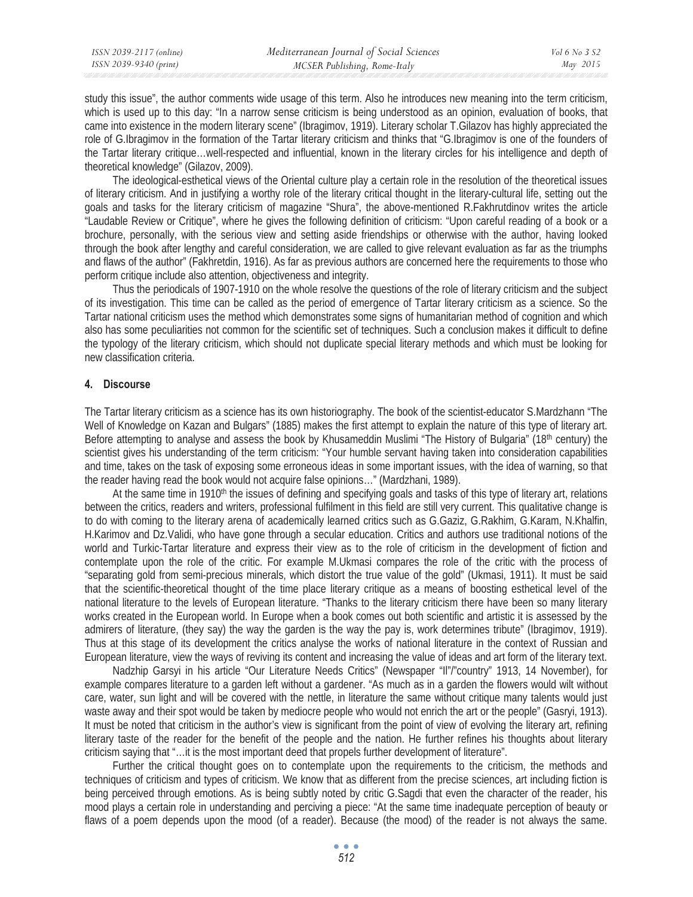study this issue", the author comments wide usage of this term. Also he introduces new meaning into the term criticism, which is used up to this day: "In a narrow sense criticism is being understood as an opinion, evaluation of books, that came into existence in the modern literary scene" (Ibragimov, 1919). Literary scholar T.Gilazov has highly appreciated the role of G.Ibragimov in the formation of the Tartar literary criticism and thinks that "G.Ibragimov is one of the founders of the Tartar literary critique…well-respected and influential, known in the literary circles for his intelligence and depth of theoretical knowledge" (Gilazov, 2009).

The ideological-esthetical views of the Oriental culture play a certain role in the resolution of the theoretical issues of literary criticism. And in justifying a worthy role of the literary critical thought in the literary-cultural life, setting out the goals and tasks for the literary criticism of magazine "Shura", the above-mentioned R.Fakhrutdinov writes the article "Laudable Review or Critique", where he gives the following definition of criticism: "Upon careful reading of a book or a brochure, personally, with the serious view and setting aside friendships or otherwise with the author, having looked through the book after lengthy and careful consideration, we are called to give relevant evaluation as far as the triumphs and flaws of the author" (Fakhretdin, 1916). As far as previous authors are concerned here the requirements to those who perform critique include also attention, objectiveness and integrity.

Thus the periodicals of 1907-1910 on the whole resolve the questions of the role of literary criticism and the subject of its investigation. This time can be called as the period of emergence of Tartar literary criticism as a science. So the Tartar national criticism uses the method which demonstrates some signs of humanitarian method of cognition and which also has some peculiarities not common for the scientific set of techniques. Such a conclusion makes it difficult to define the typology of the literary criticism, which should not duplicate special literary methods and which must be looking for new classification criteria.

#### **4. Discourse**

The Tartar literary criticism as a science has its own historiography. The book of the scientist-educator S.Mardzhann "The Well of Knowledge on Kazan and Bulgars" (1885) makes the first attempt to explain the nature of this type of literary art. Before attempting to analyse and assess the book by Khusameddin Muslimi "The History of Bulgaria" (18th century) the scientist gives his understanding of the term criticism: "Your humble servant having taken into consideration capabilities and time, takes on the task of exposing some erroneous ideas in some important issues, with the idea of warning, so that the reader having read the book would not acquire false opinions…" (Mardzhani, 1989).

At the same time in 1910<sup>th</sup> the issues of defining and specifying goals and tasks of this type of literary art, relations between the critics, readers and writers, professional fulfilment in this field are still very current. This qualitative change is to do with coming to the literary arena of academically learned critics such as G.Gaziz, G.Rakhim, G.Karam, N.Khalfin, H.Karimov and Dz.Validi, who have gone through a secular education. Critics and authors use traditional notions of the world and Turkic-Tartar literature and express their view as to the role of criticism in the development of fiction and contemplate upon the role of the critic. For example M.Ukmasi compares the role of the critic with the process of "separating gold from semi-precious minerals, which distort the true value of the gold" (Ukmasi, 1911). It must be said that the scientific-theoretical thought of the time place literary critique as a means of boosting esthetical level of the national literature to the levels of European literature. "Thanks to the literary criticism there have been so many literary works created in the European world. In Europe when a book comes out both scientific and artistic it is assessed by the admirers of literature, (they say) the way the garden is the way the pay is, work determines tribute" (Ibragimov, 1919). Thus at this stage of its development the critics analyse the works of national literature in the context of Russian and European literature, view the ways of reviving its content and increasing the value of ideas and art form of the literary text.

Nadzhip Garsyi in his article "Our Literature Needs Critics" (Newspaper "Il"/"country" 1913, 14 November), for example compares literature to a garden left without a gardener. "As much as in a garden the flowers would wilt without care, water, sun light and will be covered with the nettle, in literature the same without critique many talents would just waste away and their spot would be taken by mediocre people who would not enrich the art or the people" (Gasryi, 1913). It must be noted that criticism in the author's view is significant from the point of view of evolving the literary art, refining literary taste of the reader for the benefit of the people and the nation. He further refines his thoughts about literary criticism saying that "…it is the most important deed that propels further development of literature".

Further the critical thought goes on to contemplate upon the requirements to the criticism, the methods and techniques of criticism and types of criticism. We know that as different from the precise sciences, art including fiction is being perceived through emotions. As is being subtly noted by critic G.Sagdi that even the character of the reader, his mood plays a certain role in understanding and perciving a piece: "At the same time inadequate perception of beauty or flaws of a poem depends upon the mood (of a reader). Because (the mood) of the reader is not always the same.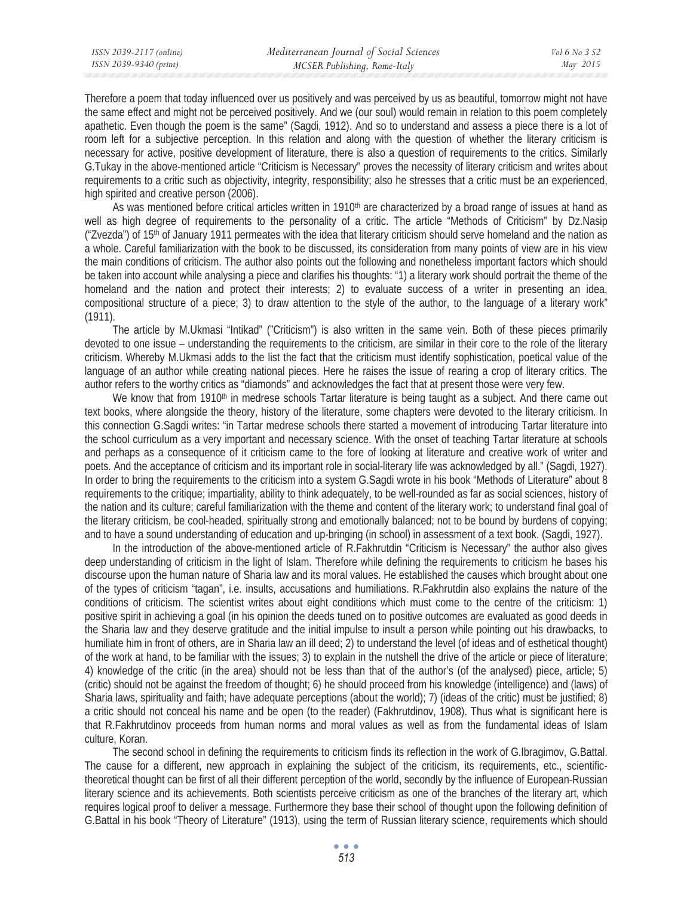| ISSN 2039-2117 (online) | Mediterranean Journal of Social Sciences | Vol 6 No 3 S2 |
|-------------------------|------------------------------------------|---------------|
| ISSN 2039-9340 (print)  | MCSER Publishing, Rome-Italy             | May 2015      |

Therefore a poem that today influenced over us positively and was perceived by us as beautiful, tomorrow might not have the same effect and might not be perceived positively. And we (our soul) would remain in relation to this poem completely apathetic. Even though the poem is the same" (Sagdi, 1912). And so to understand and assess a piece there is a lot of room left for a subjective perception. In this relation and along with the question of whether the literary criticism is necessary for active, positive development of literature, there is also a question of requirements to the critics. Similarly G.Tukay in the above-mentioned article "Criticism is Necessary" proves the necessity of literary criticism and writes about requirements to a critic such as objectivity, integrity, responsibility; also he stresses that a critic must be an experienced, high spirited and creative person (2006).

As was mentioned before critical articles written in 1910<sup>th</sup> are characterized by a broad range of issues at hand as well as high degree of requirements to the personality of a critic. The article "Methods of Criticism" by Dz.Nasip ("Zvezda") of  $15<sup>th</sup>$  of January 1911 permeates with the idea that literary criticism should serve homeland and the nation as a whole. Careful familiarization with the book to be discussed, its consideration from many points of view are in his view the main conditions of criticism. The author also points out the following and nonetheless important factors which should be taken into account while analysing a piece and clarifies his thoughts: "1) a literary work should portrait the theme of the homeland and the nation and protect their interests; 2) to evaluate success of a writer in presenting an idea, compositional structure of a piece; 3) to draw attention to the style of the author, to the language of a literary work" (1911).

The article by M.Ukmasi "Intikad" ("Criticism") is also written in the same vein. Both of these pieces primarily devoted to one issue – understanding the requirements to the criticism, are similar in their core to the role of the literary criticism. Whereby M.Ukmasi adds to the list the fact that the criticism must identify sophistication, poetical value of the language of an author while creating national pieces. Here he raises the issue of rearing a crop of literary critics. The author refers to the worthy critics as "diamonds" and acknowledges the fact that at present those were very few.

We know that from 1910<sup>th</sup> in medrese schools Tartar literature is being taught as a subject. And there came out text books, where alongside the theory, history of the literature, some chapters were devoted to the literary criticism. In this connection G.Sagdi writes: "in Tartar medrese schools there started a movement of introducing Tartar literature into the school curriculum as a very important and necessary science. With the onset of teaching Tartar literature at schools and perhaps as a consequence of it criticism came to the fore of looking at literature and creative work of writer and poets. And the acceptance of criticism and its important role in social-literary life was acknowledged by all." (Sagdi, 1927). In order to bring the requirements to the criticism into a system G.Sagdi wrote in his book "Methods of Literature" about 8 requirements to the critique; impartiality, ability to think adequately, to be well-rounded as far as social sciences, history of the nation and its culture; careful familiarization with the theme and content of the literary work; to understand final goal of the literary criticism, be cool-headed, spiritually strong and emotionally balanced; not to be bound by burdens of copying; and to have a sound understanding of education and up-bringing (in school) in assessment of a text book. (Sagdi, 1927).

In the introduction of the above-mentioned article of R.Fakhrutdin "Criticism is Necessary" the author also gives deep understanding of criticism in the light of Islam. Therefore while defining the requirements to criticism he bases his discourse upon the human nature of Sharia law and its moral values. He established the causes which brought about one of the types of criticism "tagan", i.e. insults, accusations and humiliations. R.Fakhrutdin also explains the nature of the conditions of criticism. The scientist writes about eight conditions which must come to the centre of the criticism: 1) positive spirit in achieving a goal (in his opinion the deeds tuned on to positive outcomes are evaluated as good deeds in the Sharia law and they deserve gratitude and the initial impulse to insult a person while pointing out his drawbacks, to humiliate him in front of others, are in Sharia law an ill deed; 2) to understand the level (of ideas and of esthetical thought) of the work at hand, to be familiar with the issues; 3) to explain in the nutshell the drive of the article or piece of literature; 4) knowledge of the critic (in the area) should not be less than that of the author's (of the analysed) piece, article; 5) (critic) should not be against the freedom of thought; 6) he should proceed from his knowledge (intelligence) and (laws) of Sharia laws, spirituality and faith; have adequate perceptions (about the world); 7) (ideas of the critic) must be justified; 8) a critic should not conceal his name and be open (to the reader) (Fakhrutdinov, 1908). Thus what is significant here is that R.Fakhrutdinov proceeds from human norms and moral values as well as from the fundamental ideas of Islam culture, Koran.

The second school in defining the requirements to criticism finds its reflection in the work of G.Ibragimov, G.Battal. The cause for a different, new approach in explaining the subject of the criticism, its requirements, etc., scientifictheoretical thought can be first of all their different perception of the world, secondly by the influence of European-Russian literary science and its achievements. Both scientists perceive criticism as one of the branches of the literary art, which requires logical proof to deliver a message. Furthermore they base their school of thought upon the following definition of G.Battal in his book "Theory of Literature" (1913), using the term of Russian literary science, requirements which should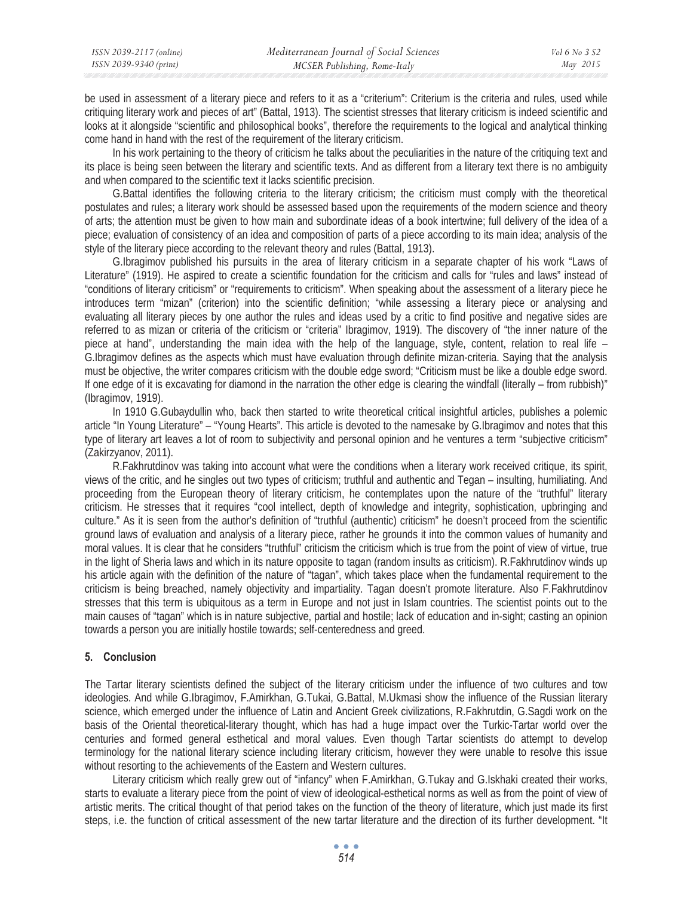| ISSN 2039-2117 (online) | Mediterranean Journal of Social Sciences | Vol 6 No 3 S2 |
|-------------------------|------------------------------------------|---------------|
| ISSN 2039-9340 (print)  | MCSER Publishing, Rome-Italy             | May 2015      |
|                         |                                          |               |

be used in assessment of a literary piece and refers to it as a "criterium": Criterium is the criteria and rules, used while critiquing literary work and pieces of art" (Battal, 1913). The scientist stresses that literary criticism is indeed scientific and looks at it alongside "scientific and philosophical books", therefore the requirements to the logical and analytical thinking come hand in hand with the rest of the requirement of the literary criticism.

In his work pertaining to the theory of criticism he talks about the peculiarities in the nature of the critiquing text and its place is being seen between the literary and scientific texts. And as different from a literary text there is no ambiguity and when compared to the scientific text it lacks scientific precision.

G.Battal identifies the following criteria to the literary criticism; the criticism must comply with the theoretical postulates and rules; a literary work should be assessed based upon the requirements of the modern science and theory of arts; the attention must be given to how main and subordinate ideas of a book intertwine; full delivery of the idea of a piece; evaluation of consistency of an idea and composition of parts of a piece according to its main idea; analysis of the style of the literary piece according to the relevant theory and rules (Battal, 1913).

G.Ibragimov published his pursuits in the area of literary criticism in a separate chapter of his work "Laws of Literature" (1919). He aspired to create a scientific foundation for the criticism and calls for "rules and laws" instead of "conditions of literary criticism" or "requirements to criticism". When speaking about the assessment of a literary piece he introduces term "mizan" (criterion) into the scientific definition; "while assessing a literary piece or analysing and evaluating all literary pieces by one author the rules and ideas used by a critic to find positive and negative sides are referred to as mizan or criteria of the criticism or "criteria" Ibragimov, 1919). The discovery of "the inner nature of the piece at hand", understanding the main idea with the help of the language, style, content, relation to real life – G.Ibragimov defines as the aspects which must have evaluation through definite mizan-criteria. Saying that the analysis must be objective, the writer compares criticism with the double edge sword; "Criticism must be like a double edge sword. If one edge of it is excavating for diamond in the narration the other edge is clearing the windfall (literally – from rubbish)" (Ibragimov, 1919).

In 1910 G.Gubaydullin who, back then started to write theoretical critical insightful articles, publishes a polemic article "In Young Literature" – "Young Hearts". This article is devoted to the namesake by G.Ibragimov and notes that this type of literary art leaves a lot of room to subjectivity and personal opinion and he ventures a term "subjective criticism" (Zakirzyanov, 2011).

R.Fakhrutdinov was taking into account what were the conditions when a literary work received critique, its spirit, views of the critic, and he singles out two types of criticism; truthful and authentic and Tegan – insulting, humiliating. And proceeding from the European theory of literary criticism, he contemplates upon the nature of the "truthful" literary criticism. He stresses that it requires "cool intellect, depth of knowledge and integrity, sophistication, upbringing and culture." As it is seen from the author's definition of "truthful (authentic) criticism" he doesn't proceed from the scientific ground laws of evaluation and analysis of a literary piece, rather he grounds it into the common values of humanity and moral values. It is clear that he considers "truthful" criticism the criticism which is true from the point of view of virtue, true in the light of Sheria laws and which in its nature opposite to tagan (random insults as criticism). R.Fakhrutdinov winds up his article again with the definition of the nature of "tagan", which takes place when the fundamental requirement to the criticism is being breached, namely objectivity and impartiality. Tagan doesn't promote literature. Also F.Fakhrutdinov stresses that this term is ubiquitous as a term in Europe and not just in Islam countries. The scientist points out to the main causes of "tagan" which is in nature subjective, partial and hostile; lack of education and in-sight; casting an opinion towards a person you are initially hostile towards; self-centeredness and greed.

#### **5. Conclusion**

The Tartar literary scientists defined the subject of the literary criticism under the influence of two cultures and tow ideologies. And while G.Ibragimov, F.Amirkhan, G.Tukai, G.Battal, M.Ukmasi show the influence of the Russian literary science, which emerged under the influence of Latin and Ancient Greek civilizations, R.Fakhrutdin, G.Sagdi work on the basis of the Oriental theoretical-literary thought, which has had a huge impact over the Turkic-Tartar world over the centuries and formed general esthetical and moral values. Even though Tartar scientists do attempt to develop terminology for the national literary science including literary criticism, however they were unable to resolve this issue without resorting to the achievements of the Eastern and Western cultures.

Literary criticism which really grew out of "infancy" when F.Amirkhan, G.Tukay and G.Iskhaki created their works, starts to evaluate a literary piece from the point of view of ideological-esthetical norms as well as from the point of view of artistic merits. The critical thought of that period takes on the function of the theory of literature, which just made its first steps, i.e. the function of critical assessment of the new tartar literature and the direction of its further development. "It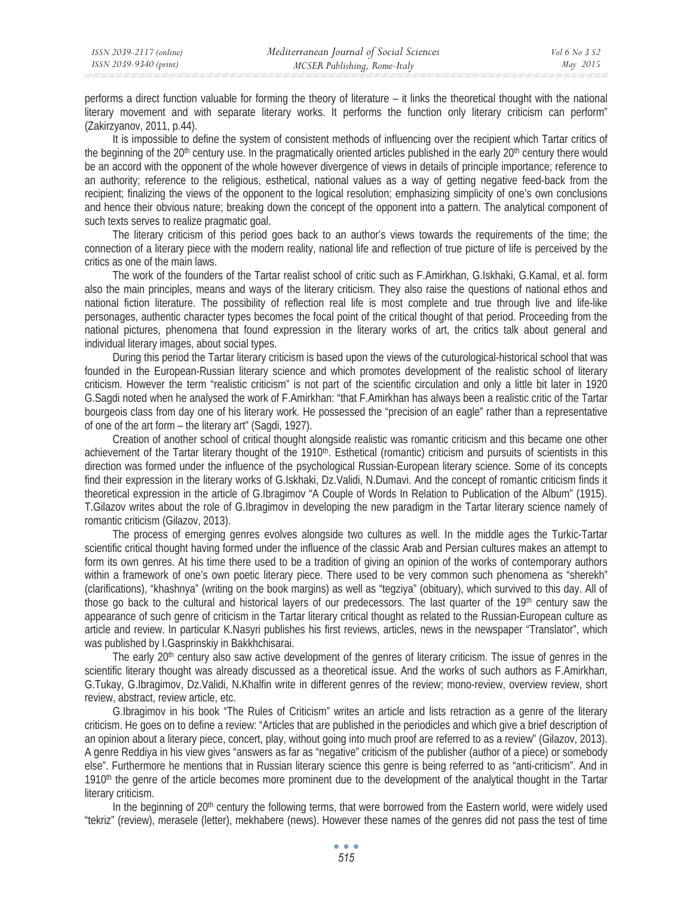performs a direct function valuable for forming the theory of literature – it links the theoretical thought with the national literary movement and with separate literary works. It performs the function only literary criticism can perform" (Zakirzyanov, 2011, p.44).

It is impossible to define the system of consistent methods of influencing over the recipient which Tartar critics of the beginning of the  $20<sup>th</sup>$  century use. In the pragmatically oriented articles published in the early  $20<sup>th</sup>$  century there would be an accord with the opponent of the whole however divergence of views in details of principle importance; reference to an authority; reference to the religious, esthetical, national values as a way of getting negative feed-back from the recipient; finalizing the views of the opponent to the logical resolution; emphasizing simplicity of one's own conclusions and hence their obvious nature; breaking down the concept of the opponent into a pattern. The analytical component of such texts serves to realize pragmatic goal.

The literary criticism of this period goes back to an author's views towards the requirements of the time; the connection of a literary piece with the modern reality, national life and reflection of true picture of life is perceived by the critics as one of the main laws.

The work of the founders of the Tartar realist school of critic such as F.Amirkhan, G.Iskhaki, G.Kamal, et al. form also the main principles, means and ways of the literary criticism. They also raise the questions of national ethos and national fiction literature. The possibility of reflection real life is most complete and true through live and life-like personages, authentic character types becomes the focal point of the critical thought of that period. Proceeding from the national pictures, phenomena that found expression in the literary works of art, the critics talk about general and individual literary images, about social types.

During this period the Tartar literary criticism is based upon the views of the cuturological-historical school that was founded in the European-Russian literary science and which promotes development of the realistic school of literary criticism. However the term "realistic criticism" is not part of the scientific circulation and only a little bit later in 1920 G.Sagdi noted when he analysed the work of F.Amirkhan: "that F.Amirkhan has always been a realistic critic of the Tartar bourgeois class from day one of his literary work. He possessed the "precision of an eagle" rather than a representative of one of the art form – the literary art" (Sagdi, 1927).

Creation of another school of critical thought alongside realistic was romantic criticism and this became one other achievement of the Tartar literary thought of the 1910<sup>th</sup>. Esthetical (romantic) criticism and pursuits of scientists in this direction was formed under the influence of the psychological Russian-European literary science. Some of its concepts find their expression in the literary works of G.Iskhaki, Dz.Validi, N.Dumavi. And the concept of romantic criticism finds it theoretical expression in the article of G.Ibragimov "A Couple of Words In Relation to Publication of the Album" (1915). T.Gilazov writes about the role of G.Ibragimov in developing the new paradigm in the Tartar literary science namely of romantic criticism (Gilazov, 2013).

The process of emerging genres evolves alongside two cultures as well. In the middle ages the Turkic-Tartar scientific critical thought having formed under the influence of the classic Arab and Persian cultures makes an attempt to form its own genres. At his time there used to be a tradition of giving an opinion of the works of contemporary authors within a framework of one's own poetic literary piece. There used to be very common such phenomena as "sherekh" (clarifications), "khashnya" (writing on the book margins) as well as "tegziya" (obituary), which survived to this day. All of those go back to the cultural and historical layers of our predecessors. The last quarter of the  $19<sup>th</sup>$  century saw the appearance of such genre of criticism in the Tartar literary critical thought as related to the Russian-European culture as article and review. In particular K.Nasyri publishes his first reviews, articles, news in the newspaper "Translator", which was published by I.Gasprinskiy in Bakkhchisarai.

The early 20<sup>th</sup> century also saw active development of the genres of literary criticism. The issue of genres in the scientific literary thought was already discussed as a theoretical issue. And the works of such authors as F.Amirkhan, G.Tukay, G.Ibragimov, Dz.Validi, N.Khalfin write in different genres of the review; mono-review, overview review, short review, abstract, review article, etc.

G.Ibragimov in his book "The Rules of Criticism" writes an article and lists retraction as a genre of the literary criticism. He goes on to define a review: "Articles that are published in the periodicles and which give a brief description of an opinion about a literary piece, concert, play, without going into much proof are referred to as a review" (Gilazov, 2013). A genre Reddiya in his view gives "answers as far as "negative" criticism of the publisher (author of a piece) or somebody else". Furthermore he mentions that in Russian literary science this genre is being referred to as "anti-criticism". And in 1910<sup>th</sup> the genre of the article becomes more prominent due to the development of the analytical thought in the Tartar literary criticism.

In the beginning of 20<sup>th</sup> century the following terms, that were borrowed from the Eastern world, were widely used "tekriz" (review), merasele (letter), mekhabere (news). However these names of the genres did not pass the test of time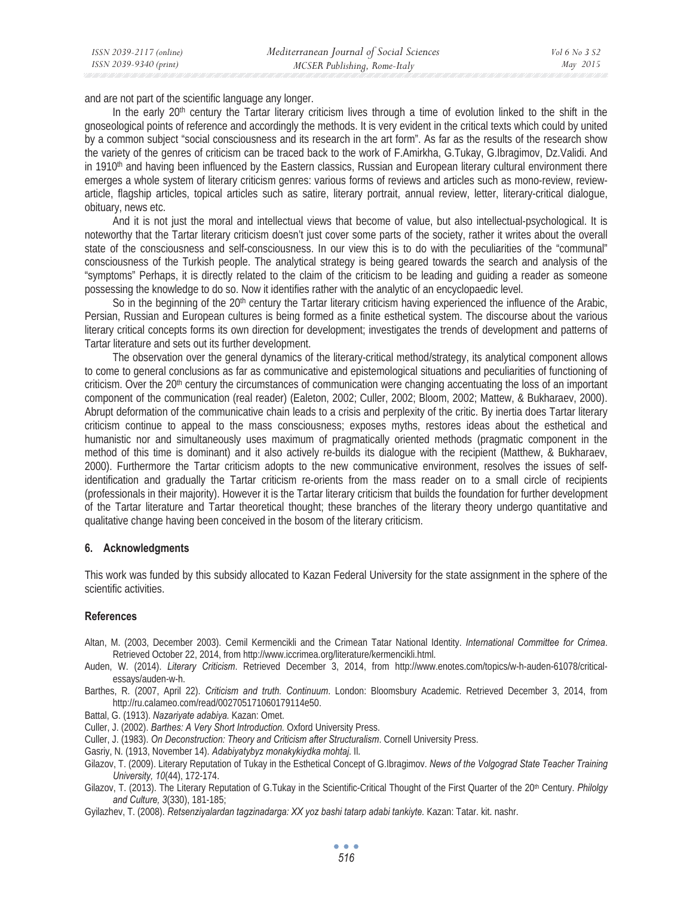and are not part of the scientific language any longer.

In the early 20<sup>th</sup> century the Tartar literary criticism lives through a time of evolution linked to the shift in the gnoseological points of reference and accordingly the methods. It is very evident in the critical texts which could by united by a common subject "social consciousness and its research in the art form". As far as the results of the research show the variety of the genres of criticism can be traced back to the work of F.Amirkha, G.Tukay, G.Ibragimov, Dz.Validi. And in 1910<sup>th</sup> and having been influenced by the Eastern classics, Russian and European literary cultural environment there emerges a whole system of literary criticism genres: various forms of reviews and articles such as mono-review, reviewarticle, flagship articles, topical articles such as satire, literary portrait, annual review, letter, literary-critical dialogue, obituary, news etc.

And it is not just the moral and intellectual views that become of value, but also intellectual-psychological. It is noteworthy that the Tartar literary criticism doesn't just cover some parts of the society, rather it writes about the overall state of the consciousness and self-consciousness. In our view this is to do with the peculiarities of the "communal" consciousness of the Turkish people. The analytical strategy is being geared towards the search and analysis of the "symptoms" Perhaps, it is directly related to the claim of the criticism to be leading and guiding a reader as someone possessing the knowledge to do so. Now it identifies rather with the analytic of an encyclopaedic level.

So in the beginning of the 20<sup>th</sup> century the Tartar literary criticism having experienced the influence of the Arabic, Persian, Russian and European cultures is being formed as a finite esthetical system. The discourse about the various literary critical concepts forms its own direction for development; investigates the trends of development and patterns of Tartar literature and sets out its further development.

The observation over the general dynamics of the literary-critical method/strategy, its analytical component allows to come to general conclusions as far as communicative and epistemological situations and peculiarities of functioning of criticism. Over the 20th century the circumstances of communication were changing accentuating the loss of an important component of the communication (real reader) (Ealeton, 2002; Culler, 2002; Bloom, 2002; Mattew, & Bukharaev, 2000). Abrupt deformation of the communicative chain leads to a crisis and perplexity of the critic. By inertia does Tartar literary criticism continue to appeal to the mass consciousness; exposes myths, restores ideas about the esthetical and humanistic nor and simultaneously uses maximum of pragmatically oriented methods (pragmatic component in the method of this time is dominant) and it also actively re-builds its dialogue with the recipient (Matthew, & Bukharaev, 2000). Furthermore the Tartar criticism adopts to the new communicative environment, resolves the issues of selfidentification and gradually the Tartar criticism re-orients from the mass reader on to a small circle of recipients (professionals in their majority). However it is the Tartar literary criticism that builds the foundation for further development of the Tartar literature and Tartar theoretical thought; these branches of the literary theory undergo quantitative and qualitative change having been conceived in the bosom of the literary criticism.

#### **6. Acknowledgments**

This work was funded by this subsidy allocated to Kazan Federal University for the state assignment in the sphere of the scientific activities.

#### **References**

- Altan, M. (2003, December 2003). Cemil Kermencikli and the Crimean Tatar National Identity. *International Committee for Crimea*. Retrieved October 22, 2014, from http://www.iccrimea.org/literature/kermencikli.html.
- Auden, W. (2014). *Literary Criticism*. Retrieved December 3, 2014, from http://www.enotes.com/topics/w-h-auden-61078/criticalessays/auden-w-h.
- Barthes, R. (2007, April 22). *Criticism and truth. Continuum*. London: Bloomsbury Academic. Retrieved December 3, 2014, from http://ru.calameo.com/read/002705171060179114e50.
- Battal, G. (1913). *Nazariyate adabiya.* Kazan: Omet.
- Culler, J. (2002). *Barthes: A Very Short Introduction.* Oxford University Press.
- Culler, J. (1983). *On Deconstruction: Theory and Criticism after Structuralism*. Cornell University Press.
- Gasriy, N. (1913, November 14). *Adabiyatybyz monakykiydka mohtaj*. Il.
- Gilazov, T. (2009). Literary Reputation of Tukay in the Esthetical Concept of G.Ibragimov. *News of the Volgograd State Teacher Training University, 10*(44), 172-174.
- Gilazov, T. (2013). The Literary Reputation of G.Tukay in the Scientific-Critical Thought of the First Quarter of the 20<sup>th</sup> Century. *Philolgy and Culture, 3*(330), 181-185;
- Gyilazhev, T. (2008). *Retsenziyalardan tagzinadarga: ɏɏ yoz bashi tatarɪ adabi tankiyte.* Kazan: Tatar. kit. nashr.